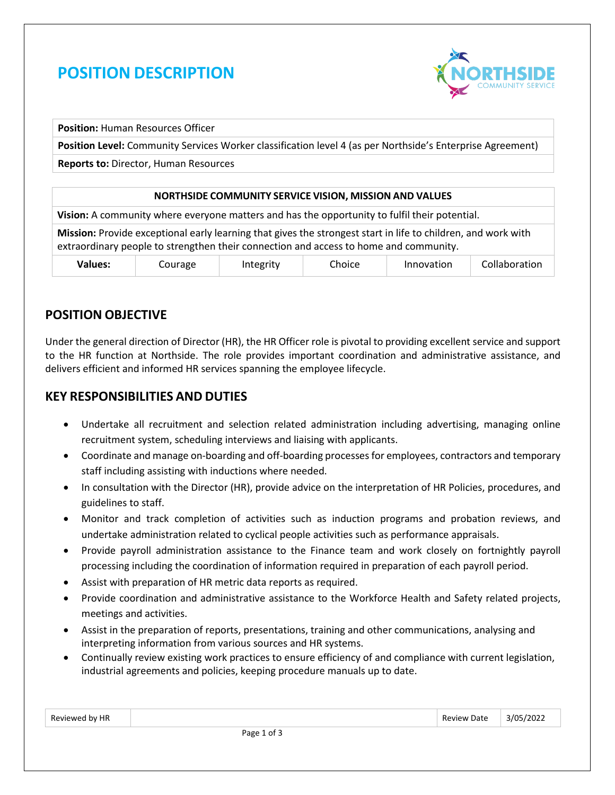# **POSITION DESCRIPTION**



**Position:** Human Resources Officer

**Position Level:** Community Services Worker classification level 4 (as per Northside's Enterprise Agreement)

**Reports to:** Director, Human Resources

#### **NORTHSIDE COMMUNITY SERVICE VISION, MISSION AND VALUES**

**Vision:** A community where everyone matters and has the opportunity to fulfil their potential.

**Mission:** Provide exceptional early learning that gives the strongest start in life to children, and work with extraordinary people to strengthen their connection and access to home and community.

| Values: | ourage | nteøritv | --<br><b>hoice</b> | .<br>novation | aboration<br>בות |
|---------|--------|----------|--------------------|---------------|------------------|
|---------|--------|----------|--------------------|---------------|------------------|

## **POSITION OBJECTIVE**

Under the general direction of Director (HR), the HR Officer role is pivotal to providing excellent service and support to the HR function at Northside. The role provides important coordination and administrative assistance, and delivers efficient and informed HR services spanning the employee lifecycle.

#### **KEY RESPONSIBILITIES AND DUTIES**

- Undertake all recruitment and selection related administration including advertising, managing online recruitment system, scheduling interviews and liaising with applicants.
- Coordinate and manage on-boarding and off-boarding processes for employees, contractors and temporary staff including assisting with inductions where needed.
- In consultation with the Director (HR), provide advice on the interpretation of HR Policies, procedures, and guidelines to staff.
- Monitor and track completion of activities such as induction programs and probation reviews, and undertake administration related to cyclical people activities such as performance appraisals.
- Provide payroll administration assistance to the Finance team and work closely on fortnightly payroll processing including the coordination of information required in preparation of each payroll period.
- Assist with preparation of HR metric data reports as required.
- Provide coordination and administrative assistance to the Workforce Health and Safety related projects, meetings and activities.
- Assist in the preparation of reports, presentations, training and other communications, analysing and interpreting information from various sources and HR systems.
- Continually review existing work practices to ensure efficiency of and compliance with current legislation, industrial agreements and policies, keeping procedure manuals up to date.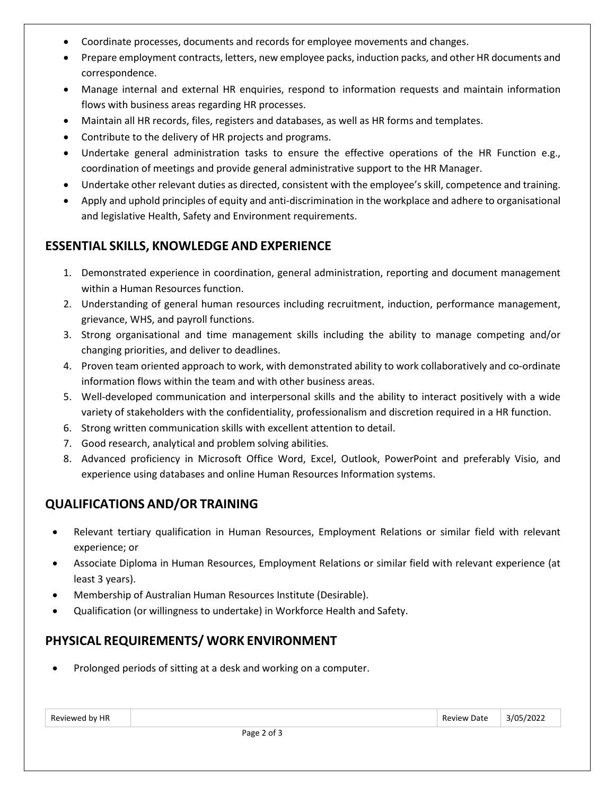- Coordinate processes, documents and records for employee movements and changes.
- Prepare employment contracts, letters, new employee packs, induction packs, and other HR documents and correspondence.
- Manage internal and external HR enquiries, respond to information requests and maintain information flows with business areas regarding HR processes.
- Maintain all HR records, files, registers and databases, as well as HR forms and templates.
- Contribute to the delivery of HR projects and programs.
- Undertake general administration tasks to ensure the effective operations of the HR Function e.g., coordination of meetings and provide general administrative support to the HR Manager.
- Undertake other relevant duties as directed, consistent with the employee's skill, competence and training.
- Apply and uphold principles of equity and anti-discrimination in the workplace and adhere to organisational and legislative Health, Safety and Environment requirements.

## **ESSENTIAL SKILLS, KNOWLEDGE AND EXPERIENCE**

- 1. Demonstrated experience in coordination, general administration, reporting and document management within a Human Resources function.
- 2. Understanding of general human resources including recruitment, induction, performance management, grievance, WHS, and payroll functions.
- 3. Strong organisational and time management skills including the ability to manage competing and/or changing priorities, and deliver to deadlines.
- 4. Proven team oriented approach to work, with demonstrated ability to work collaboratively and co-ordinate information flows within the team and with other business areas.
- 5. Well-developed communication and interpersonal skills and the ability to interact positively with a wide variety of stakeholders with the confidentiality, professionalism and discretion required in a HR function.
- 6. Strong written communication skills with excellent attention to detail.
- 7. Good research, analytical and problem solving abilities.
- 8. Advanced proficiency in Microsoft Office Word, Excel, Outlook, PowerPoint and preferably Visio, and experience using databases and online Human Resources Information systems.

# **QUALIFICATIONS AND/OR TRAINING**

- Relevant tertiary qualification in Human Resources, Employment Relations or similar field with relevant experience; or
- Associate Diploma in Human Resources, Employment Relations or similar field with relevant experience (at least 3 years).
- Membership of Australian Human Resources Institute (Desirable).
- Qualification (or willingness to undertake) in Workforce Health and Safety.

# **PHYSICAL REQUIREMENTS/ WORK ENVIRONMENT**

• Prolonged periods of sitting at a desk and working on a computer.

| Reviewed by HR |  |
|----------------|--|
|----------------|--|